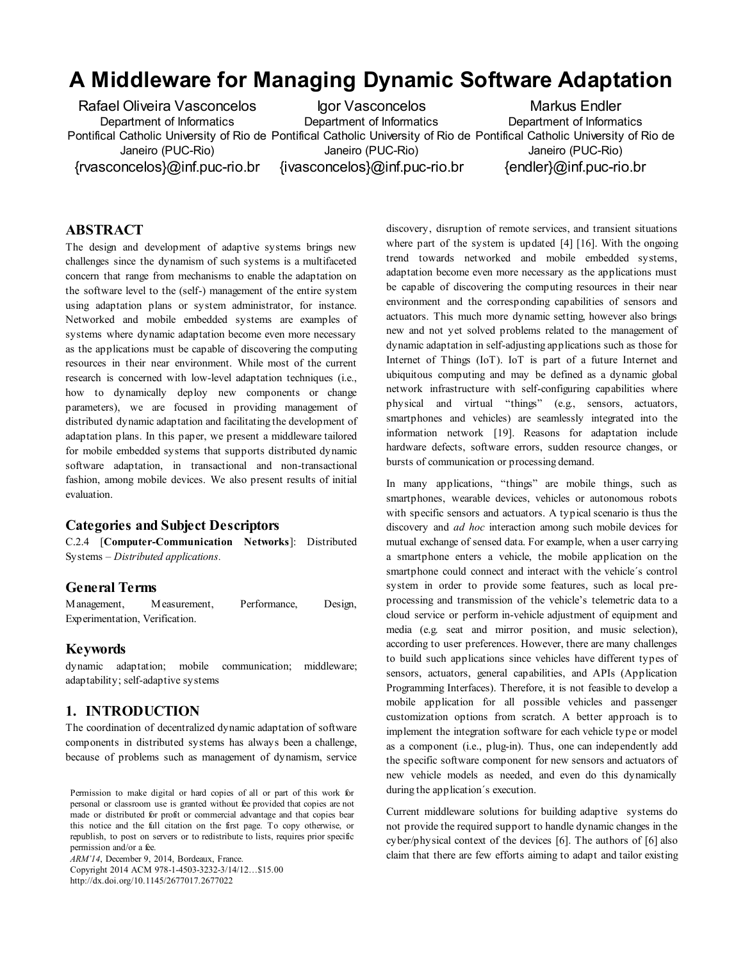# **A Middleware for Managing Dynamic Software Adaptation**

Rafael Oliveira Vasconcelos Department of Informatics Pontifical Catholic University of Rio de Pontifical Catholic University of Rio de Pontifical Catholic University of Rio de Janeiro (PUC-Rio) {rvasconcelos}@inf.puc-rio.br

Igor Vasconcelos Department of Informatics Janeiro (PUC-Rio)

{ivasconcelos}@inf.puc-rio.br

Markus Endler Department of Informatics Janeiro (PUC-Rio) {endler}@inf.puc-rio.br

### **ABSTRACT**

The design and development of adaptive systems brings new challenges since the dynamism of such systems is a multifaceted concern that range from mechanisms to enable the adaptation on the software level to the (self-) management of the entire system using adaptation plans or system administrator, for instance. Networked and mobile embedded systems are examples of systems where dynamic adaptation become even more necessary as the applications must be capable of discovering the computing resources in their near environment. While most of the current research is concerned with low-level adaptation techniques (i.e., how to dynamically deploy new components or change parameters), we are focused in providing management of distributed dynamic adaptation and facilitating the development of adaptation plans. In this paper, we present a middleware tailored for mobile embedded systems that supports distributed dynamic software adaptation, in transactional and non-transactional fashion, among mobile devices. We also present results of initial evaluation.

### **Categories and Subject Descriptors**

C.2.4 [**Computer-Communication Networks**]: Distributed Systems – *Distributed applications.*

#### **General Terms**

Management, Measurement, Performance, Design, Experimentation, Verification.

#### **Keywords**

dynamic adaptation; mobile communication; middleware; adaptability; self-adaptive systems

### **1. INTRODUCTION**

The coordination of decentralized dynamic adaptation of software components in distributed systems has always been a challenge, because of problems such as management of dynamism, service

*ARM'14*, December 9, 2014, Bordeaux, France. Copyright 2014 ACM 978-1-4503-3232-3/14/12…\$15.00 http://dx.doi.org/10.1145/2677017.2677022

discovery, disruption of remote services, and transient situations where part of the system is updated [4] [16]. With the ongoing trend towards networked and mobile embedded systems, adaptation become even more necessary as the applications must be capable of discovering the computing resources in their near environment and the corresponding capabilities of sensors and actuators. This much more dynamic setting, however also brings new and not yet solved problems related to the management of dynamic adaptation in self-adjusting applications such as those for Internet of Things (IoT). IoT is part of a future Internet and ubiquitous computing and may be defined as a dynamic global network infrastructure with self-configuring capabilities where physical and virtual "things" (e.g., sensors, actuators, smartphones and vehicles) are seamlessly integrated into the information network [19]. Reasons for adaptation include hardware defects, software errors, sudden resource changes, or bursts of communication or processing demand.

In many applications, "things" are mobile things, such as smartphones, wearable devices, vehicles or autonomous robots with specific sensors and actuators. A typical scenario is thus the discovery and *ad hoc* interaction among such mobile devices for mutual exchange of sensed data. For example, when a user carrying a smartphone enters a vehicle, the mobile application on the smartphone could connect and interact with the vehicle´s control system in order to provide some features, such as local preprocessing and transmission of the vehicle's telemetric data to a cloud service or perform in-vehicle adjustment of equipment and media (e.g. seat and mirror position, and music selection), according to user preferences. However, there are many challenges to build such applications since vehicles have different types of sensors, actuators, general capabilities, and APIs (Application Programming Interfaces). Therefore, it is not feasible to develop a mobile application for all possible vehicles and passenger customization options from scratch. A better approach is to implement the integration software for each vehicle type or model as a component (i.e., plug-in). Thus, one can independently add the specific software component for new sensors and actuators of new vehicle models as needed, and even do this dynamically during the application´s execution.

Current middleware solutions for building adaptive systems do not provide the required support to handle dynamic changes in the cyber/physical context of the devices [6]. The authors of [6] also claim that there are few efforts aiming to adapt and tailor existing

Permission to make digital or hard copies of all or part of this work for personal or classroom use is granted without fee provided that copies are not made or distributed for profit or commercial advantage and that copies bear this notice and the full citation on the first page. To copy otherwise, or republish, to post on servers or to redistribute to lists, requires prior specific permission and/or a fee.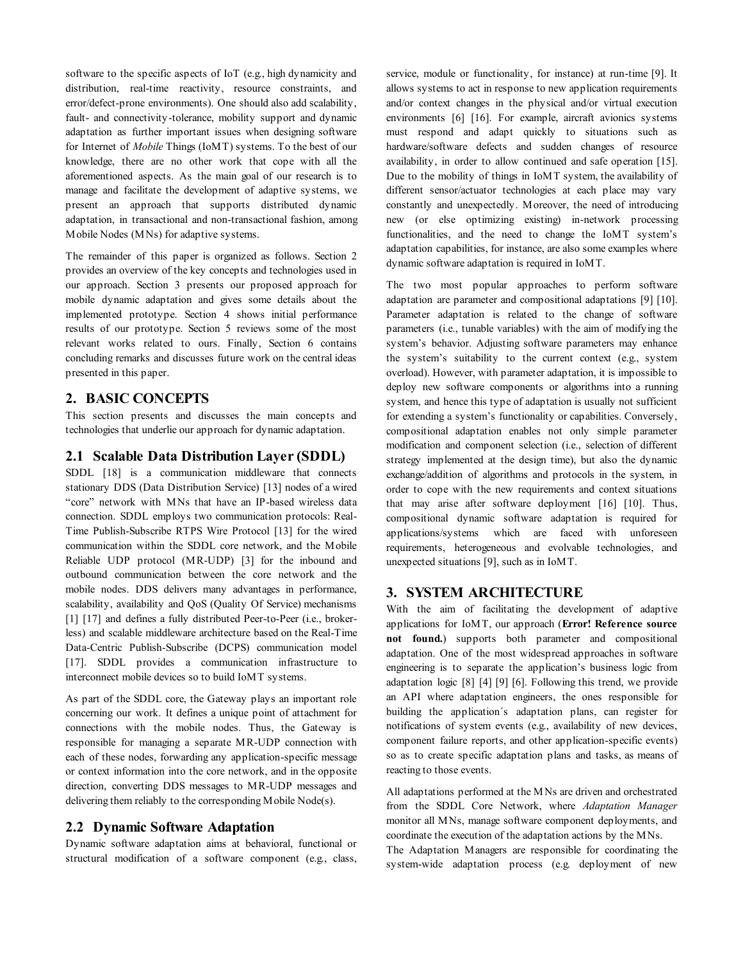software to the specific aspects of IoT (e.g., high dynamicity and distribution, real-time reactivity, resource constraints, and error/defect-prone environments). One should also add scalability, fault- and connectivity-tolerance, mobility support and dynamic adaptation as further important issues when designing software for Internet of *Mobile* Things (IoMT) systems. To the best of our knowledge, there are no other work that cope with all the aforementioned aspects. As the main goal of our research is to manage and facilitate the development of adaptive systems, we present an approach that supports distributed dynamic adaptation, in transactional and non-transactional fashion, among Mobile Nodes (MNs) for adaptive systems.

The remainder of this paper is organized as follows. Section 2 provides an overview of the key concepts and technologies used in our approach. Section 3 presents our proposed approach for mobile dynamic adaptation and gives some details about the implemented prototype. Section 4 shows initial performance results of our prototype. Section 5 reviews some of the most relevant works related to ours. Finally, Section 6 contains concluding remarks and discusses future work on the central ideas presented in this paper.

### **2. BASIC CONCEPTS**

This section presents and discusses the main concepts and technologies that underlie our approach for dynamic adaptation.

### **2.1 Scalable Data Distribution Layer (SDDL)**

SDDL [18] is a communication middleware that connects stationary DDS (Data Distribution Service) [13] nodes of a wired "core" network with MNs that have an IP-based wireless data connection. SDDL employs two communication protocols: Real-Time Publish-Subscribe RTPS Wire Protocol [13] for the wired communication within the SDDL core network, and the Mobile Reliable UDP protocol (MR-UDP) [3] for the inbound and outbound communication between the core network and the mobile nodes. DDS delivers many advantages in performance, scalability, availability and QoS (Quality Of Service) mechanisms [1] [17] and defines a fully distributed Peer-to-Peer (i.e., brokerless) and scalable middleware architecture based on the Real-Time Data-Centric Publish-Subscribe (DCPS) communication model [17]. SDDL provides a communication infrastructure to interconnect mobile devices so to build IoMT systems.

As part of the SDDL core, the Gateway plays an important role concerning our work. It defines a unique point of attachment for connections with the mobile nodes. Thus, the Gateway is responsible for managing a separate MR-UDP connection with each of these nodes, forwarding any application-specific message or context information into the core network, and in the opposite direction, converting DDS messages to MR-UDP messages and delivering them reliably to the corresponding Mobile Node(s).

### **2.2 Dynamic Software Adaptation**

Dynamic software adaptation aims at behavioral, functional or structural modification of a software component (e.g., class, service, module or functionality, for instance) at run-time [9]. It allows systems to act in response to new application requirements and/or context changes in the physical and/or virtual execution environments [6] [16]. For example, aircraft avionics systems must respond and adapt quickly to situations such as hardware/software defects and sudden changes of resource availability, in order to allow continued and safe operation [15]. Due to the mobility of things in IoMT system, the availability of different sensor/actuator technologies at each place may vary constantly and unexpectedly. Moreover, the need of introducing new (or else optimizing existing) in-network processing functionalities, and the need to change the IoMT system's adaptation capabilities, for instance, are also some examples where dynamic software adaptation is required in IoMT.

The two most popular approaches to perform software adaptation are parameter and compositional adaptations [9] [10]. Parameter adaptation is related to the change of software parameters (i.e., tunable variables) with the aim of modifying the system's behavior. Adjusting software parameters may enhance the system's suitability to the current context (e.g., system overload). However, with parameter adaptation, it is impossible to deploy new software components or algorithms into a running system, and hence this type of adaptation is usually not sufficient for extending a system's functionality or capabilities. Conversely, compositional adaptation enables not only simple parameter modification and component selection (i.e., selection of different strategy implemented at the design time), but also the dynamic exchange/addition of algorithms and protocols in the system, in order to cope with the new requirements and context situations that may arise after software deployment [16] [10]. Thus, compositional dynamic software adaptation is required for applications/systems which are faced with unforeseen requirements, heterogeneous and evolvable technologies, and unexpected situations [9], such as in IoMT.

### **3. SYSTEM ARCHITECTURE**

With the aim of facilitating the development of adaptive applications for IoMT, our approach (**Error! Reference source not found.**) supports both parameter and compositional adaptation. One of the most widespread approaches in software engineering is to separate the application's business logic from adaptation logic [8] [4] [9] [6]. Following this trend, we provide an API where adaptation engineers, the ones responsible for building the application´s adaptation plans, can register for notifications of system events (e.g., availability of new devices, component failure reports, and other application-specific events) so as to create specific adaptation plans and tasks, as means of reacting to those events.

All adaptations performed at the MNs are driven and orchestrated from the SDDL Core Network, where *Adaptation Manager* monitor all MNs, manage software component deployments, and coordinate the execution of the adaptation actions by the MNs.

The Adaptation Managers are responsible for coordinating the system-wide adaptation process (e.g. deployment of new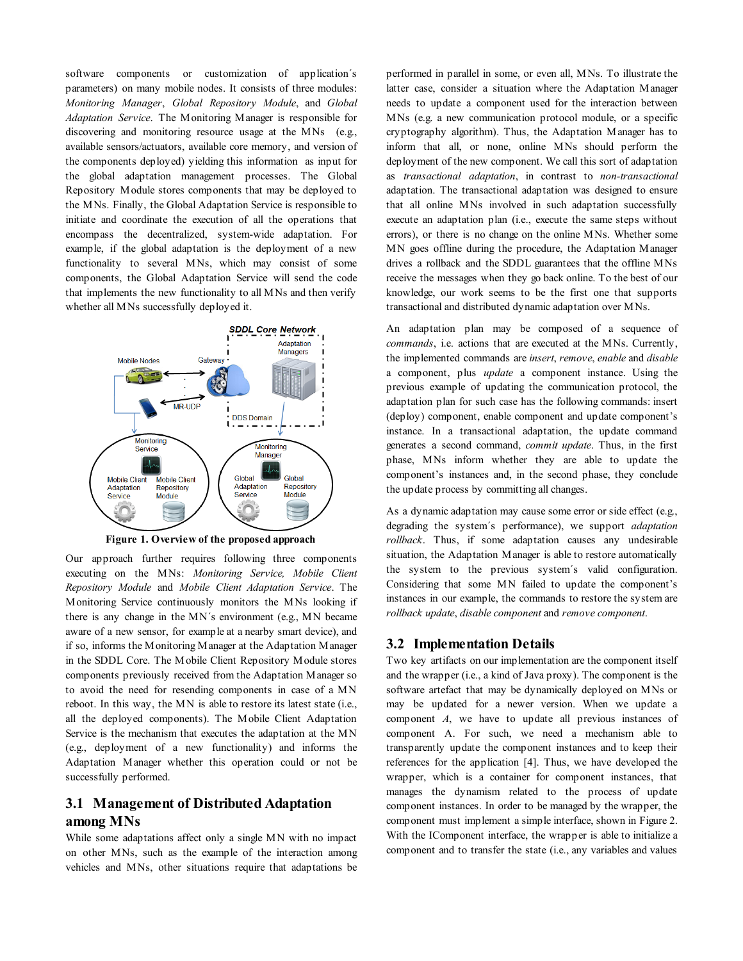software components or customization of application´s parameters) on many mobile nodes. It consists of three modules: *Monitoring Manager*, *Global Repository Module*, and *Global Adaptation Service*. The Monitoring Manager is responsible for discovering and monitoring resource usage at the MNs (e.g., available sensors/actuators, available core memory, and version of the components deployed) yielding this information as input for the global adaptation management processes. The Global Repository Module stores components that may be deployed to the MNs. Finally, the Global Adaptation Service is responsible to initiate and coordinate the execution of all the operations that encompass the decentralized, system-wide adaptation. For example, if the global adaptation is the deployment of a new functionality to several MNs, which may consist of some components, the Global Adaptation Service will send the code that implements the new functionality to all MNs and then verify whether all MNs successfully deployed it.



**Figure 1. Overview of the proposed approach**

Our approach further requires following three components executing on the MNs: *Monitoring Service, Mobile Client Repository Module* and *Mobile Client Adaptation Service*. The Monitoring Service continuously monitors the MNs looking if there is any change in the MN´s environment (e.g., MN became aware of a new sensor, for example at a nearby smart device), and if so, informs the Monitoring Manager at the Adaptation Manager in the SDDL Core. The Mobile Client Repository Module stores components previously received from the Adaptation Manager so to avoid the need for resending components in case of a MN reboot. In this way, the MN is able to restore its latest state (i.e., all the deployed components). The Mobile Client Adaptation Service is the mechanism that executes the adaptation at the MN (e.g., deployment of a new functionality) and informs the Adaptation Manager whether this operation could or not be successfully performed.

### **3.1 Management of Distributed Adaptation among MNs**

While some adaptations affect only a single MN with no impact on other MNs, such as the example of the interaction among vehicles and MNs, other situations require that adaptations be

performed in parallel in some, or even all, MNs. To illustrate the latter case, consider a situation where the Adaptation Manager needs to update a component used for the interaction between MNs (e.g. a new communication protocol module, or a specific cryptography algorithm). Thus, the Adaptation Manager has to inform that all, or none, online MNs should perform the deployment of the new component. We call this sort of adaptation as *transactional adaptation*, in contrast to *non-transactional* adaptation. The transactional adaptation was designed to ensure that all online MNs involved in such adaptation successfully execute an adaptation plan (i.e., execute the same steps without errors), or there is no change on the online MNs. Whether some MN goes offline during the procedure, the Adaptation Manager drives a rollback and the SDDL guarantees that the offline MNs receive the messages when they go back online. To the best of our knowledge, our work seems to be the first one that supports transactional and distributed dynamic adaptation over MNs.

An adaptation plan may be composed of a sequence of *commands*, i.e. actions that are executed at the MNs. Currently, the implemented commands are *insert*, *remove*, *enable* and *disable* a component, plus *update* a component instance. Using the previous example of updating the communication protocol, the adaptation plan for such case has the following commands: insert (deploy) component, enable component and update component's instance. In a transactional adaptation, the update command generates a second command, *commit update*. Thus, in the first phase, MNs inform whether they are able to update the component's instances and, in the second phase, they conclude the update process by committing all changes.

As a dynamic adaptation may cause some error or side effect (e.g., degrading the system´s performance), we support *adaptation rollback*. Thus, if some adaptation causes any undesirable situation, the Adaptation Manager is able to restore automatically the system to the previous system´s valid configuration. Considering that some MN failed to update the component's instances in our example, the commands to restore the system are *rollback update*, *disable component* and *remove component*.

#### **3.2 Implementation Details**

Two key artifacts on our implementation are the component itself and the wrapper (i.e., a kind of Java proxy). The component is the software artefact that may be dynamically deployed on MNs or may be updated for a newer version. When we update a component *A*, we have to update all previous instances of component A. For such, we need a mechanism able to transparently update the component instances and to keep their references for the application [4]. Thus, we have developed the wrapper, which is a container for component instances, that manages the dynamism related to the process of update component instances. In order to be managed by the wrapper, the component must implement a simple interface, shown in [Figure](#page-3-0) 2. With the IComponent interface, the wrapper is able to initialize a component and to transfer the state (i.e., any variables and values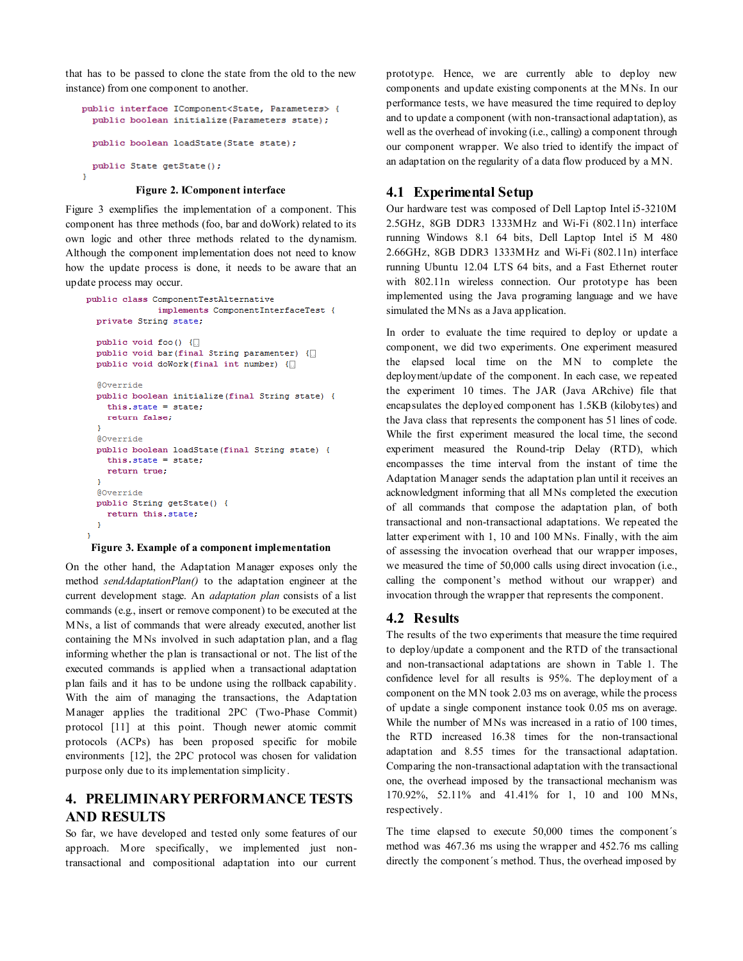that has to be passed to clone the state from the old to the new instance) from one component to another.

```
public interface IComponent<State, Parameters> {
 public boolean initialize (Parameters state);
 public boolean loadState (State state);
 public State getState();
Ä
```
#### **Figure 2. IComponent interface**

<span id="page-3-0"></span>[Figure](#page-3-1) 3 exemplifies the implementation of a component. This component has three methods (foo, bar and doWork) related to its own logic and other three methods related to the dynamism. Although the component implementation does not need to know how the update process is done, it needs to be aware that an update process may occur.

```
public class ComponentTestAlternative
              implements ComponentInterfaceTest {
 private String state;
 public void foo() {
 public void bar (final String paramenter) {
 public void doWork(final int number) {
  @Override
 public boolean initialize (final String state) {
    this.state = state;
    return false;
  @Override
 public boolean loadState(final String state) {
   this.state = state;
    return true:
  @Override
 public String getState() {
   return this.state:
  Þ
Ï
```
#### **Figure 3. Example of a component implementation**

<span id="page-3-1"></span>On the other hand, the Adaptation Manager exposes only the method *sendAdaptationPlan()* to the adaptation engineer at the current development stage. An *adaptation plan* consists of a list commands (e.g., insert or remove component) to be executed at the MNs, a list of commands that were already executed, another list containing the MNs involved in such adaptation plan, and a flag informing whether the plan is transactional or not. The list of the executed commands is applied when a transactional adaptation plan fails and it has to be undone using the rollback capability. With the aim of managing the transactions, the Adaptation Manager applies the traditional 2PC (Two-Phase Commit) protocol [11] at this point. Though newer atomic commit protocols (ACPs) has been proposed specific for mobile environments [12], the 2PC protocol was chosen for validation purpose only due to its implementation simplicity.

## **4. PRELIMINARY PERFORMANCE TESTS AND RESULTS**

So far, we have developed and tested only some features of our approach. More specifically, we implemented just nontransactional and compositional adaptation into our current prototype. Hence, we are currently able to deploy new components and update existing components at the MNs. In our performance tests, we have measured the time required to deploy and to update a component (with non-transactional adaptation), as well as the overhead of invoking (i.e., calling) a component through our component wrapper. We also tried to identify the impact of an adaptation on the regularity of a data flow produced by a MN.

#### **4.1 Experimental Setup**

Our hardware test was composed of Dell Laptop Intel i5-3210M 2.5GHz, 8GB DDR3 1333MHz and Wi-Fi (802.11n) interface running Windows 8.1 64 bits, Dell Laptop Intel i5 M 480 2.66GHz, 8GB DDR3 1333MHz and Wi-Fi (802.11n) interface running Ubuntu 12.04 LTS 64 bits, and a Fast Ethernet router with 802.11n wireless connection. Our prototype has been implemented using the Java programing language and we have simulated the MNs as a Java application.

In order to evaluate the time required to deploy or update a component, we did two experiments. One experiment measured the elapsed local time on the MN to complete the deployment/update of the component. In each case, we repeated the experiment 10 times. The JAR (Java ARchive) file that encapsulates the deployed component has 1.5KB (kilobytes) and the Java class that represents the component has 51 lines of code. While the first experiment measured the local time, the second experiment measured the Round-trip Delay (RTD), which encompasses the time interval from the instant of time the Adaptation Manager sends the adaptation plan until it receives an acknowledgment informing that all MNs completed the execution of all commands that compose the adaptation plan, of both transactional and non-transactional adaptations. We repeated the latter experiment with 1, 10 and 100 MNs. Finally, with the aim of assessing the invocation overhead that our wrapper imposes, we measured the time of 50,000 calls using direct invocation (i.e., calling the component's method without our wrapper) and invocation through the wrapper that represents the component.

#### **4.2 Results**

The results of the two experiments that measure the time required to deploy/update a component and the RTD of the transactional and non-transactional adaptations are shown in [Table 1.](#page-4-0) The confidence level for all results is 95%. The deployment of a component on the MN took 2.03 ms on average, while the process of update a single component instance took 0.05 ms on average. While the number of MNs was increased in a ratio of 100 times, the RTD increased 16.38 times for the non-transactional adaptation and 8.55 times for the transactional adaptation. Comparing the non-transactional adaptation with the transactional one, the overhead imposed by the transactional mechanism was 170.92%, 52.11% and 41.41% for 1, 10 and 100 MNs, respectively.

The time elapsed to execute 50,000 times the component´s method was 467.36 ms using the wrapper and 452.76 ms calling directly the component´s method. Thus, the overhead imposed by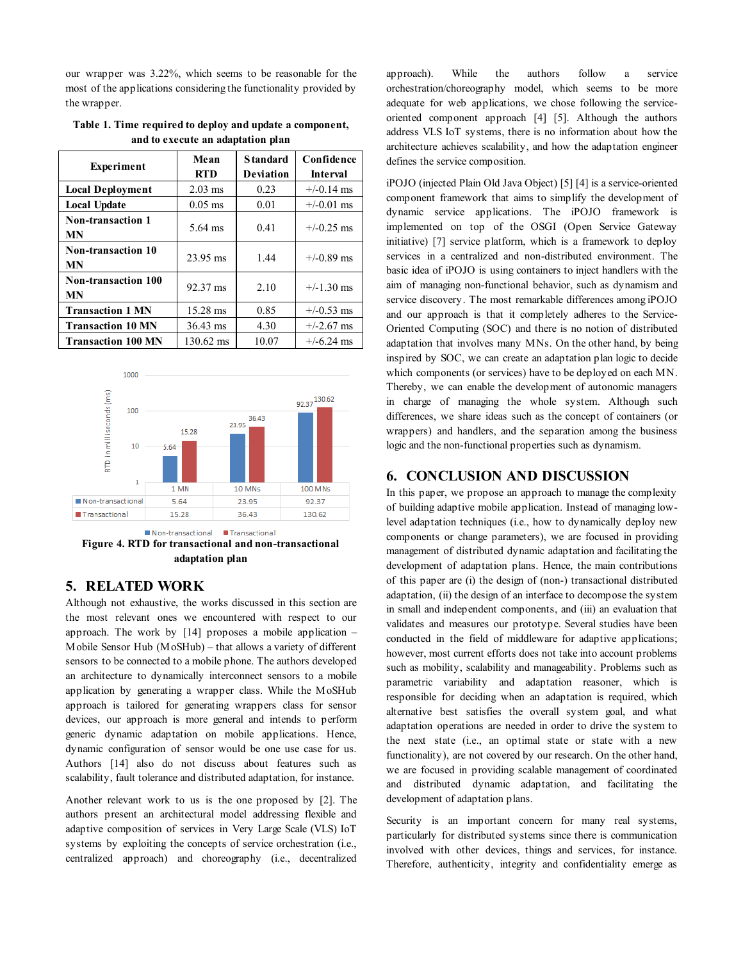our wrapper was 3.22%, which seems to be reasonable for the most of the applications considering the functionality provided by the wrapper.

<span id="page-4-0"></span>

| Table 1. Time required to deploy and update a component, |  |
|----------------------------------------------------------|--|
| and to execute an adaptation plan                        |  |

| Experiment                              | Mean<br><b>RTD</b> | <b>Standard</b><br>Deviation | Confidence<br><b>Interval</b> |
|-----------------------------------------|--------------------|------------------------------|-------------------------------|
| <b>Local Deployment</b>                 | $2.03$ ms          | 0.23                         | $+/-0.14$ ms                  |
| <b>Local Update</b>                     | $0.05$ ms          | 0.01                         | $+/-0.01$ ms                  |
| Non-transaction 1<br><b>MN</b>          | 5.64 ms            | 0.41                         | $+/-0.25$ ms                  |
| <b>Non-transaction 10</b><br><b>MN</b>  | 23.95 ms           | 1.44                         | $+/-0.89$ ms                  |
| <b>Non-transaction 100</b><br><b>MN</b> | 92.37 ms           | 2.10                         | $+/-1.30$ ms                  |
| <b>Transaction 1 MN</b>                 | $15.28 \text{ ms}$ | 0.85                         | $+/-0.53$ ms                  |
| <b>Transaction 10 MN</b>                | $36.43 \text{ ms}$ | 4.30                         | $+/-2.67$ ms                  |
| <b>Transaction 100 MN</b>               | 130.62 ms          | 10.07                        | $+/-6.24$ ms                  |



**adaptation plan**

### **5. RELATED WORK**

Although not exhaustive, the works discussed in this section are the most relevant ones we encountered with respect to our approach. The work by [14] proposes a mobile application – Mobile Sensor Hub (MoSHub) – that allows a variety of different sensors to be connected to a mobile phone. The authors developed an architecture to dynamically interconnect sensors to a mobile application by generating a wrapper class. While the MoSHub approach is tailored for generating wrappers class for sensor devices, our approach is more general and intends to perform generic dynamic adaptation on mobile applications. Hence, dynamic configuration of sensor would be one use case for us. Authors [14] also do not discuss about features such as scalability, fault tolerance and distributed adaptation, for instance.

Another relevant work to us is the one proposed by [2]. The authors present an architectural model addressing flexible and adaptive composition of services in Very Large Scale (VLS) IoT systems by exploiting the concepts of service orchestration (i.e., centralized approach) and choreography (i.e., decentralized

approach). While the authors follow a service orchestration/choreography model, which seems to be more adequate for web applications, we chose following the serviceoriented component approach [4] [5]. Although the authors address VLS IoT systems, there is no information about how the architecture achieves scalability, and how the adaptation engineer defines the service composition.

iPOJO (injected Plain Old Java Object) [5] [4] is a service-oriented component framework that aims to simplify the development of dynamic service applications. The iPOJO framework is implemented on top of the OSGI (Open Service Gateway initiative) [7] service platform, which is a framework to deploy services in a centralized and non-distributed environment. The basic idea of iPOJO is using containers to inject handlers with the aim of managing non-functional behavior, such as dynamism and service discovery. The most remarkable differences among iPOJO and our approach is that it completely adheres to the Service-Oriented Computing (SOC) and there is no notion of distributed adaptation that involves many MNs. On the other hand, by being inspired by SOC, we can create an adaptation plan logic to decide which components (or services) have to be deployed on each MN. Thereby, we can enable the development of autonomic managers in charge of managing the whole system. Although such differences, we share ideas such as the concept of containers (or wrappers) and handlers, and the separation among the business logic and the non-functional properties such as dynamism.

### **6. CONCLUSION AND DISCUSSION**

In this paper, we propose an approach to manage the complexity of building adaptive mobile application. Instead of managing lowlevel adaptation techniques (i.e., how to dynamically deploy new components or change parameters), we are focused in providing management of distributed dynamic adaptation and facilitating the development of adaptation plans. Hence, the main contributions of this paper are (i) the design of (non-) transactional distributed adaptation, (ii) the design of an interface to decompose the system in small and independent components, and (iii) an evaluation that validates and measures our prototype. Several studies have been conducted in the field of middleware for adaptive applications; however, most current efforts does not take into account problems such as mobility, scalability and manageability. Problems such as parametric variability and adaptation reasoner, which is responsible for deciding when an adaptation is required, which alternative best satisfies the overall system goal, and what adaptation operations are needed in order to drive the system to the next state (i.e., an optimal state or state with a new functionality), are not covered by our research. On the other hand, we are focused in providing scalable management of coordinated and distributed dynamic adaptation, and facilitating the development of adaptation plans.

Security is an important concern for many real systems, particularly for distributed systems since there is communication involved with other devices, things and services, for instance. Therefore, authenticity, integrity and confidentiality emerge as